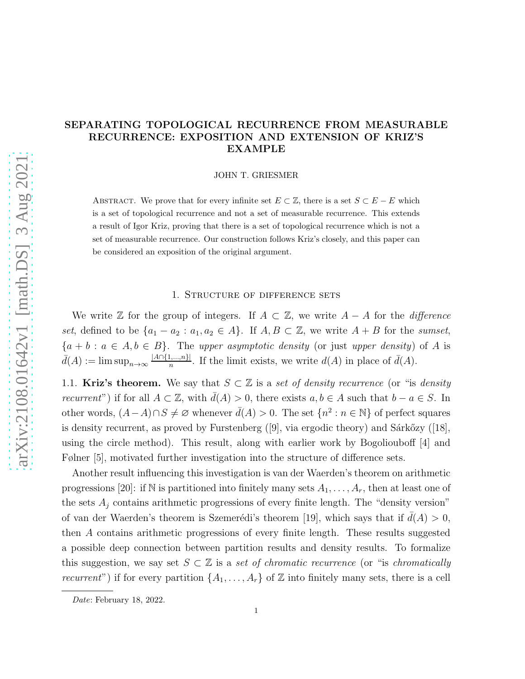# SEPARATING TOPOLOGICAL RECURRENCE FROM MEASURABLE RECURRENCE: EXPOSITION AND EXTENSION OF KRIZ'S EXAMPLE

JOHN T. GRIESMER

ABSTRACT. We prove that for every infinite set  $E \subset \mathbb{Z}$ , there is a set  $S \subset E - E$  which is a set of topological recurrence and not a set of measurable recurrence. This extends a result of Igor Kriz, proving that there is a set of topological recurrence which is not a set of measurable recurrence. Our construction follows Kriz's closely, and this paper can be considered an exposition of the original argument.

#### 1. Structure of difference sets

We write  $\mathbb Z$  for the group of integers. If  $A \subset \mathbb Z$ , we write  $A - A$  for the *difference* set, defined to be  $\{a_1 - a_2 : a_1, a_2 \in A\}$ . If  $A, B \subset \mathbb{Z}$ , we write  $A + B$  for the sumset,  ${a + b : a \in A, b \in B}$ . The upper asymptotic density (or just upper density) of A is  $\bar{d}(A) := \limsup_{n \to \infty} \frac{|A \cap \{1, ..., n\}|}{n}$  $\frac{[1,...,n]}{n}$ . If the limit exists, we write  $d(A)$  in place of  $\bar{d}(A)$ .

1.1. Kriz's theorem. We say that  $S \subset \mathbb{Z}$  is a set of density recurrence (or "is density *recurrent*") if for all  $A \subset \mathbb{Z}$ , with  $\overline{d}(A) > 0$ , there exists  $a, b \in A$  such that  $b - a \in S$ . In other words,  $(A-A)\cap S\neq\emptyset$  whenever  $\bar{d}(A) > 0$ . The set  $\{n^2 : n \in \mathbb{N}\}\$  of perfect squares isdensity recurrent, as proved by Furstenberg  $([9]$  $([9]$ , via ergodic theory) and Sárkőzy  $([18]$  $([18]$ , using the circle method). This result, along with earlier work by Bogoliouboff [\[4\]](#page-16-0) and Følner [\[5\]](#page-16-1), motivated further investigation into the structure of difference sets.

Another result influencing this investigation is van der Waerden's theorem on arithmetic progressions [\[20\]](#page-17-2): if N is partitioned into finitely many sets  $A_1, \ldots, A_r$ , then at least one of the sets  $A_j$  contains arithmetic progressions of every finite length. The "density version" of van der Waerden's theorem is Szemerédi's theorem [\[19\]](#page-17-3), which says that if  $d(A) > 0$ , then A contains arithmetic progressions of every finite length. These results suggested a possible deep connection between partition results and density results. To formalize this suggestion, we say set  $S \subset \mathbb{Z}$  is a set of chromatic recurrence (or "is chromatically recurrent") if for every partition  $\{A_1, \ldots, A_r\}$  of  $\mathbb Z$  into finitely many sets, there is a cell

Date: February 18, 2022.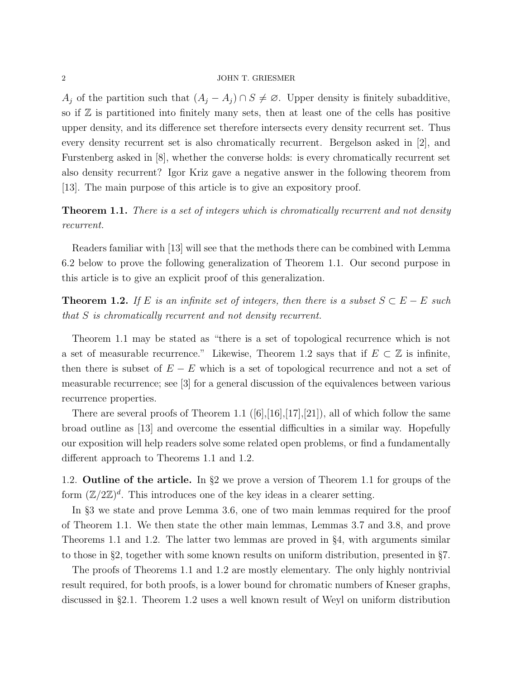$A_j$  of the partition such that  $(A_j - A_j) \cap S \neq \emptyset$ . Upper density is finitely subadditive, so if  $\mathbb Z$  is partitioned into finitely many sets, then at least one of the cells has positive upper density, and its difference set therefore intersects every density recurrent set. Thus every density recurrent set is also chromatically recurrent. Bergelson asked in [\[2\]](#page-16-2), and Furstenberg asked in [\[8\]](#page-16-3), whether the converse holds: is every chromatically recurrent set also density recurrent? Igor Kriz gave a negative answer in the following theorem from [\[13\]](#page-17-4). The main purpose of this article is to give an expository proof.

<span id="page-1-0"></span>**Theorem 1.1.** There is a set of integers which is chromatically recurrent and not density recurrent.

Readers familiar with [\[13\]](#page-17-4) will see that the methods there can be combined with Lemma [6.2](#page-13-0) below to prove the following generalization of Theorem [1.1.](#page-1-0) Our second purpose in this article is to give an explicit proof of this generalization.

<span id="page-1-1"></span>**Theorem 1.2.** If E is an infinite set of integers, then there is a subset  $S \subset E - E$  such that S is chromatically recurrent and not density recurrent.

Theorem [1.1](#page-1-0) may be stated as "there is a set of topological recurrence which is not a set of measurable recurrence." Likewise, Theorem [1.2](#page-1-1) says that if  $E \subset \mathbb{Z}$  is infinite, then there is subset of  $E - E$  which is a set of topological recurrence and not a set of measurable recurrence; see [\[3\]](#page-16-4) for a general discussion of the equivalences between various recurrence properties.

There are several proofs of Theorem [1.1](#page-1-0) $([6],[16],[17],[21])$  $([6],[16],[17],[21])$  $([6],[16],[17],[21])$  $([6],[16],[17],[21])$  $([6],[16],[17],[21])$  $([6],[16],[17],[21])$  $([6],[16],[17],[21])$  $([6],[16],[17],[21])$  $([6],[16],[17],[21])$ , all of which follow the same broad outline as [\[13\]](#page-17-4) and overcome the essential difficulties in a similar way. Hopefully our exposition will help readers solve some related open problems, or find a fundamentally different approach to Theorems [1.1](#page-1-0) and [1.2.](#page-1-1)

1.2. Outline of the article. In §[2](#page-2-0) we prove a version of Theorem [1.1](#page-1-0) for groups of the form  $(\mathbb{Z}/2\mathbb{Z})^d$ . This introduces one of the key ideas in a clearer setting.

In §[3](#page-4-0) we state and prove Lemma [3.6,](#page-6-0) one of two main lemmas required for the proof of Theorem [1.1.](#page-1-0) We then state the other main lemmas, Lemmas [3.7](#page-8-0) and [3.8,](#page-9-0) and prove Theorems [1.1](#page-1-0) and [1.2.](#page-1-1) The latter two lemmas are proved in §[4,](#page-9-1) with arguments similar to those in §[2,](#page-2-0) together with some known results on uniform distribution, presented in §[7.](#page-13-1)

The proofs of Theorems [1.1](#page-1-0) and [1.2](#page-1-1) are mostly elementary. The only highly nontrivial result required, for both proofs, is a lower bound for chromatic numbers of Kneser graphs, discussed in §[2.1.](#page-2-1) Theorem [1.2](#page-1-1) uses a well known result of Weyl on uniform distribution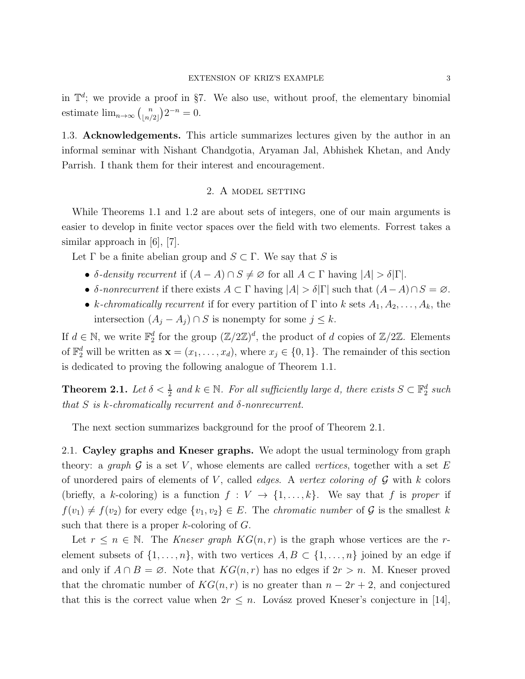in  $\mathbb{T}^d$ ; we provide a proof in §[7.](#page-13-1) We also use, without proof, the elementary binomial estimate  $\lim_{n\to\infty} \binom{n}{n}$  $\binom{n}{\lfloor n/2 \rfloor} 2^{-n} = 0.$ 

<span id="page-2-0"></span>1.3. Acknowledgements. This article summarizes lectures given by the author in an informal seminar with Nishant Chandgotia, Aryaman Jal, Abhishek Khetan, and Andy Parrish. I thank them for their interest and encouragement.

# 2. A MODEL SETTING

While Theorems [1.1](#page-1-0) and [1.2](#page-1-1) are about sets of integers, one of our main arguments is easier to develop in finite vector spaces over the field with two elements. Forrest takes a similar approach in [\[6\]](#page-16-5), [\[7\]](#page-16-6).

Let  $\Gamma$  be a finite abelian group and  $S \subset \Gamma$ . We say that S is

- δ-density recurrent if  $(A A) \cap S \neq \emptyset$  for all  $A \subset \Gamma$  having  $|A| > \delta |\Gamma|$ .
- δ-nonrecurrent if there exists  $A \subset \Gamma$  having  $|A| > \delta |\Gamma|$  such that  $(A-A) \cap S = \emptyset$ .
- k-chromatically recurrent if for every partition of  $\Gamma$  into k sets  $A_1, A_2, \ldots, A_k$ , the intersection  $(A_j - A_j) \cap S$  is nonempty for some  $j \leq k$ .

If  $d \in \mathbb{N}$ , we write  $\mathbb{F}_2^d$  for the group  $(\mathbb{Z}/2\mathbb{Z})^d$ , the product of d copies of  $\mathbb{Z}/2\mathbb{Z}$ . Elements of  $\mathbb{F}_2^d$  will be written as  $\mathbf{x} = (x_1, \ldots, x_d)$ , where  $x_j \in \{0, 1\}$ . The remainder of this section is dedicated to proving the following analogue of Theorem [1.1.](#page-1-0)

<span id="page-2-2"></span>**Theorem 2.1.** Let  $\delta < \frac{1}{2}$  and  $k \in \mathbb{N}$ . For all sufficiently large d, there exists  $S \subset \mathbb{F}_2^d$  such that S is k-chromatically recurrent and  $\delta$ -nonrecurrent.

<span id="page-2-1"></span>The next section summarizes background for the proof of Theorem [2.1.](#page-2-2)

2.1. Cayley graphs and Kneser graphs. We adopt the usual terminology from graph theory: a graph  $\mathcal G$  is a set V, whose elements are called vertices, together with a set E of unordered pairs of elements of  $V$ , called *edges*. A vertex coloring of  $G$  with  $k$  colors (briefly, a k-coloring) is a function  $f: V \to \{1, \ldots, k\}$ . We say that f is proper if  $f(v_1) \neq f(v_2)$  for every edge  $\{v_1, v_2\} \in E$ . The *chromatic number* of G is the smallest k such that there is a proper  $k$ -coloring of  $G$ .

Let  $r \leq n \in \mathbb{N}$ . The Kneser graph  $KG(n,r)$  is the graph whose vertices are the relement subsets of  $\{1, \ldots, n\}$ , with two vertices  $A, B \subset \{1, \ldots, n\}$  joined by an edge if and only if  $A \cap B = \emptyset$ . Note that  $KG(n,r)$  has no edges if  $2r > n$ . M. Kneser proved that the chromatic number of  $KG(n,r)$  is no greater than  $n-2r+2$ , and conjectured that this is the correct value when  $2r \leq n$ . Lovász proved Kneser's conjecture in [\[14\]](#page-17-8),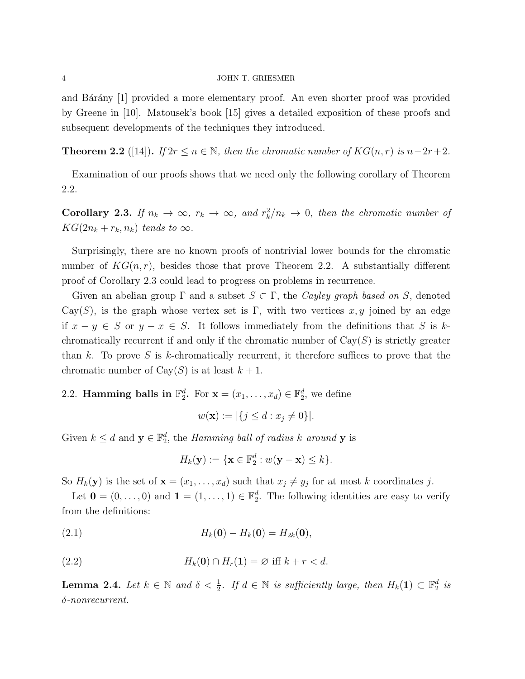and Bárány [\[1\]](#page-16-7) provided a more elementary proof. An even shorter proof was provided by Greene in [\[10\]](#page-17-9). Matousek's book [\[15\]](#page-17-10) gives a detailed exposition of these proofs and subsequent developments of the techniques they introduced.

<span id="page-3-0"></span>**Theorem 2.2** ([\[14\]](#page-17-8)). If  $2r \le n \in \mathbb{N}$ , then the chromatic number of  $KG(n,r)$  is  $n-2r+2$ .

Examination of our proofs shows that we need only the following corollary of Theorem [2.2.](#page-3-0)

<span id="page-3-1"></span>**Corollary 2.3.** If  $n_k \to \infty$ ,  $r_k \to \infty$ , and  $r_k^2/n_k \to 0$ , then the chromatic number of  $KG(2n_k + r_k, n_k)$  tends to  $\infty$ .

Surprisingly, there are no known proofs of nontrivial lower bounds for the chromatic number of  $KG(n, r)$ , besides those that prove Theorem [2.2.](#page-3-0) A substantially different proof of Corollary [2.3](#page-3-1) could lead to progress on problems in recurrence.

Given an abelian group  $\Gamma$  and a subset  $S \subset \Gamma$ , the Cayley graph based on S, denoted Cay(S), is the graph whose vertex set is Γ, with two vertices  $x, y$  joined by an edge if  $x - y \in S$  or  $y - x \in S$ . It follows immediately from the definitions that S is kchromatically recurrent if and only if the chromatic number of  $Cay(S)$  is strictly greater than k. To prove S is k-chromatically recurrent, it therefore suffices to prove that the chromatic number of  $Cay(S)$  is at least  $k+1$ .

# 2.2. **Hamming balls in**  $\mathbb{F}_2^d$ . For  $\mathbf{x} = (x_1, \dots, x_d) \in \mathbb{F}_2^d$ , we define

$$
w(\mathbf{x}) := |\{ j \le d : x_j \neq 0 \}|.
$$

Given  $k \leq d$  and  $\mathbf{y} \in \mathbb{F}_2^d$ , the *Hamming ball of radius* k around **y** is

<span id="page-3-4"></span><span id="page-3-3"></span>
$$
H_k(\mathbf{y}) := \{\mathbf{x} \in \mathbb{F}_2^d : w(\mathbf{y} - \mathbf{x}) \le k\}.
$$

So  $H_k(\mathbf{y})$  is the set of  $\mathbf{x} = (x_1, \ldots, x_d)$  such that  $x_j \neq y_j$  for at most k coordinates j.

Let  $\mathbf{0} = (0, \ldots, 0)$  and  $\mathbf{1} = (1, \ldots, 1) \in \mathbb{F}_2^d$ . The following identities are easy to verify from the definitions:

(2.1) 
$$
H_k(0) - H_k(0) = H_{2k}(0),
$$

(2.2) 
$$
H_k(\mathbf{0}) \cap H_r(\mathbf{1}) = \varnothing \text{ iff } k + r < d.
$$

<span id="page-3-2"></span>**Lemma 2.4.** Let  $k \in \mathbb{N}$  and  $\delta < \frac{1}{2}$ . If  $d \in \mathbb{N}$  is sufficiently large, then  $H_k(1) \subset \mathbb{F}_2^d$  is δ-nonrecurrent.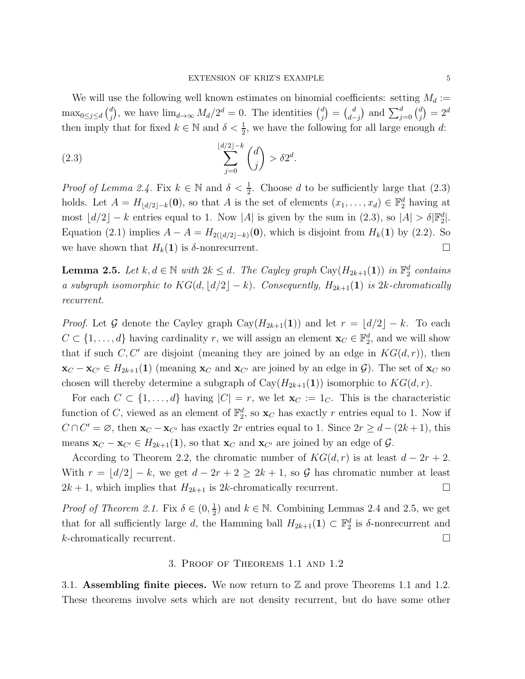We will use the following well known estimates on binomial coefficients: setting  $M_d :=$ max<sub>0≤j≤d</sub> $\binom{d}{i}$  $j^d$ , we have  $\lim_{d\to\infty} M_d/2^d = 0$ . The identities  $\binom{d}{j}$  $\binom{d}{j} = \binom{d}{d}$  $\binom{d}{d-j}$  and  $\sum_{j=0}^{d} \binom{d}{j}$  $j^{(d)}_{(j)} = 2^d$ then imply that for fixed  $k \in \mathbb{N}$  and  $\delta < \frac{1}{2}$ , we have the following for all large enough d:

<span id="page-4-1"></span>
$$
\sum_{j=0}^{\lfloor d/2 \rfloor - k} \binom{d}{j} > \delta 2^d.
$$

*Proof of Lemma [2.4.](#page-3-2)* Fix  $k \in \mathbb{N}$  and  $\delta < \frac{1}{2}$ . Choose d to be sufficiently large that [\(2.3\)](#page-4-1) holds. Let  $A = H_{\lfloor d/2 \rfloor - k}(0)$ , so that A is the set of elements  $(x_1, \ldots, x_d) \in \mathbb{F}_2^d$  having at most  $\lfloor d/2 \rfloor - k$  entries equal to 1. Now |A| is given by the sum in [\(2.3\)](#page-4-1), so  $|A| > \delta |\mathbb{F}_2^d|$ . Equation [\(2.1\)](#page-3-3) implies  $A - A = H_{2(|d/2|-k)}(0)$ , which is disjoint from  $H_k(1)$  by [\(2.2\)](#page-3-4). So we have shown that  $H_k(1)$  is  $\delta$ -nonrecurrent.

<span id="page-4-2"></span>**Lemma 2.5.** Let  $k, d \in \mathbb{N}$  with  $2k \leq d$ . The Cayley graph Cay( $H_{2k+1}(1)$ ) in  $\mathbb{F}_2^d$  contains a subgraph isomorphic to  $KG(d, \lfloor d/2 \rfloor - k)$ . Consequently,  $H_{2k+1}(1)$  is  $2k$ -chromatically recurrent.

*Proof.* Let G denote the Cayley graph Cay( $H_{2k+1}(1)$ ) and let  $r = \lfloor d/2 \rfloor - k$ . To each  $C \subset \{1, \ldots, d\}$  having cardinality r, we will assign an element  $\mathbf{x}_C \in \mathbb{F}_2^d$ , and we will show that if such  $C, C'$  are disjoint (meaning they are joined by an edge in  $KG(d, r)$ ), then  $\mathbf{x}_C - \mathbf{x}_{C'} \in H_{2k+1}(1)$  (meaning  $\mathbf{x}_C$  and  $\mathbf{x}_{C'}$  are joined by an edge in  $\mathcal{G}$ ). The set of  $\mathbf{x}_C$  so chosen will thereby determine a subgraph of  $Cay(H_{2k+1}(1))$  isomorphic to  $KG(d, r)$ .

For each  $C \subset \{1, \ldots, d\}$  having  $|C| = r$ , we let  $\mathbf{x}_C := 1_C$ . This is the characteristic function of C, viewed as an element of  $\mathbb{F}_2^d$ , so  $\mathbf{x}_C$  has exactly r entries equal to 1. Now if  $C \cap C' = \emptyset$ , then  $\mathbf{x}_{C} - \mathbf{x}_{C'}$  has exactly 2r entries equal to 1. Since  $2r \geq d - (2k + 1)$ , this means  $\mathbf{x}_C - \mathbf{x}_{C'} \in H_{2k+1}(\mathbf{1})$ , so that  $\mathbf{x}_C$  and  $\mathbf{x}_{C'}$  are joined by an edge of  $\mathcal{G}$ .

According to Theorem [2.2,](#page-3-0) the chromatic number of  $KG(d, r)$  is at least  $d - 2r + 2$ . With  $r = \lfloor d/2 \rfloor - k$ , we get  $d - 2r + 2 \geq 2k + 1$ , so G has chromatic number at least  $2k + 1$ , which implies that  $H_{2k+1}$  is 2k-chromatically recurrent.

*Proof of Theorem [2.1.](#page-2-2)* Fix  $\delta \in (0, \frac{1}{2})$  $\frac{1}{2}$ ) and  $k \in \mathbb{N}$ . Combining Lemmas [2.4](#page-3-2) and [2.5,](#page-4-2) we get that for all sufficiently large d, the Hamming ball  $H_{2k+1}(1) \subset \mathbb{F}_2^d$  is  $\delta$ -nonrecurrent and  $k$ -chromatically recurrent.

### 3. Proof of Theorems [1.1](#page-1-0) and [1.2](#page-1-1)

<span id="page-4-0"></span>3.1. Assembling finite pieces. We now return to  $\mathbb Z$  and prove Theorems [1.1](#page-1-0) and [1.2.](#page-1-1) These theorems involve sets which are not density recurrent, but do have some other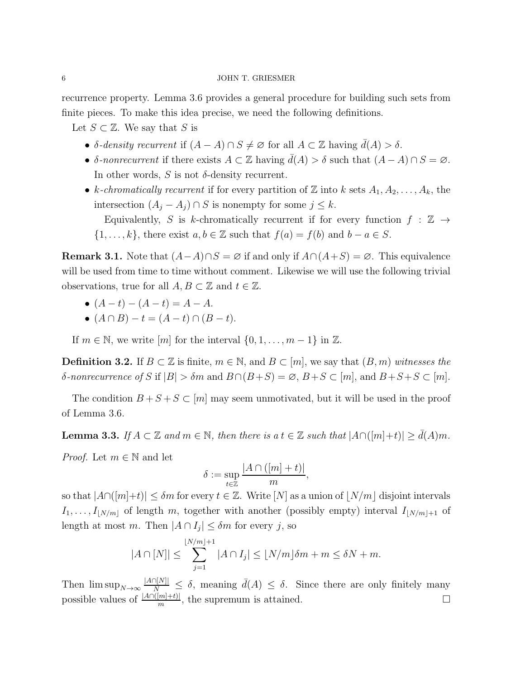recurrence property. Lemma [3.6](#page-6-0) provides a general procedure for building such sets from finite pieces. To make this idea precise, we need the following definitions.

Let  $S \subset \mathbb{Z}$ . We say that S is

- δ-density recurrent if  $(A A) \cap S \neq \emptyset$  for all  $A \subset \mathbb{Z}$  having  $\bar{d}(A) > \delta$ .
- δ-nonrecurrent if there exists  $A \subset \mathbb{Z}$  having  $\bar{d}(A) > \delta$  such that  $(A A) \cap S = \emptyset$ . In other words,  $S$  is not  $\delta$ -density recurrent.
- k-chromatically recurrent if for every partition of Z into k sets  $A_1, A_2, \ldots, A_k$ , the intersection  $(A_i - A_j) \cap S$  is nonempty for some  $j \leq k$ .

Equivalently, S is k-chromatically recurrent if for every function  $f : \mathbb{Z} \rightarrow$  $\{1, \ldots, k\}$ , there exist  $a, b \in \mathbb{Z}$  such that  $f(a) = f(b)$  and  $b - a \in S$ .

**Remark 3.1.** Note that  $(A-A)\cap S = \emptyset$  if and only if  $A\cap(A+S) = \emptyset$ . This equivalence will be used from time to time without comment. Likewise we will use the following trivial observations, true for all  $A, B \subset \mathbb{Z}$  and  $t \in \mathbb{Z}$ .

- $(A t) (A t) = A A$ .
- $(A \cap B) t = (A t) \cap (B t).$

If  $m \in \mathbb{N}$ , we write  $[m]$  for the interval  $\{0, 1, \ldots, m-1\}$  in  $\mathbb{Z}$ .

**Definition 3.2.** If  $B \subset \mathbb{Z}$  is finite,  $m \in \mathbb{N}$ , and  $B \subset [m]$ , we say that  $(B, m)$  witnesses the δ-nonrecurrence of S if  $|B| > \delta m$  and  $B \cap (B+S) = \emptyset$ ,  $B+S \subset [m]$ , and  $B+S+S \subset [m]$ .

The condition  $B + S + S \subset [m]$  may seem unmotivated, but it will be used in the proof of Lemma [3.6.](#page-6-0)

<span id="page-5-0"></span>**Lemma 3.3.** If  $A \subset \mathbb{Z}$  and  $m \in \mathbb{N}$ , then there is a  $t \in \mathbb{Z}$  such that  $|A \cap (m|+t)| \ge d(A)m$ .

*Proof.* Let  $m \in \mathbb{N}$  and let

$$
\delta := \sup_{t \in \mathbb{Z}} \frac{|A \cap ([m] + t)|}{m},
$$

so that  $|A\cap([m]+t)| \leq \delta m$  for every  $t \in \mathbb{Z}$ . Write  $[N]$  as a union of  $|N/m|$  disjoint intervals  $I_1, \ldots, I_{|N/m|}$  of length m, together with another (possibly empty) interval  $I_{|N/m|+1}$  of length at most m. Then  $|A \cap I_j| \leq \delta m$  for every j, so

$$
|A \cap [N]| \le \sum_{j=1}^{\lfloor N/m \rfloor + 1} |A \cap I_j| \le \lfloor N/m \rfloor \delta m + m \le \delta N + m.
$$

Then  $\limsup_{N\to\infty}$   $\frac{|A\cap [N]|}{N} \leq \delta$ , meaning  $\bar{d}(A) \leq \delta$ . Since there are only finitely many possible values of  $\frac{|A \cap (m]+t)}{m}$ , the supremum is attained.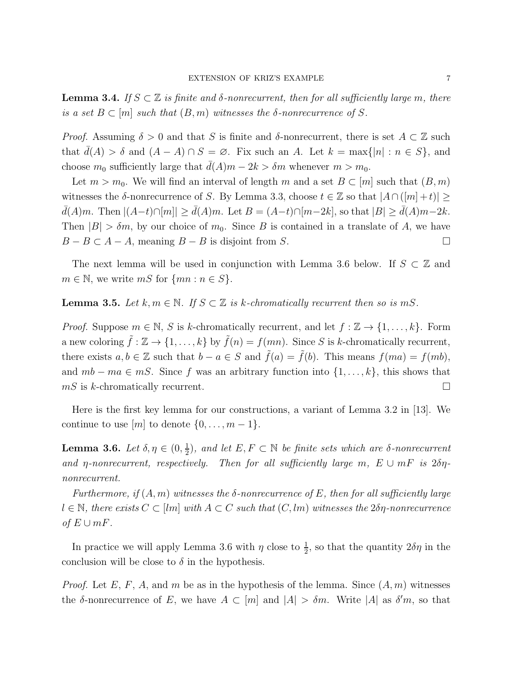<span id="page-6-1"></span>**Lemma 3.4.** If  $S \subset \mathbb{Z}$  is finite and  $\delta$ -nonrecurrent, then for all sufficiently large m, there is a set  $B \subset [m]$  such that  $(B, m)$  witnesses the  $\delta$ -nonrecurrence of S.

*Proof.* Assuming  $\delta > 0$  and that S is finite and  $\delta$ -nonrecurrent, there is set  $A \subset \mathbb{Z}$  such that  $\bar{d}(A) > \delta$  and  $(A - A) \cap S = \emptyset$ . Fix such an A. Let  $k = \max\{|n| : n \in S\}$ , and choose  $m_0$  sufficiently large that  $\bar{d}(A)m - 2k > \delta m$  whenever  $m > m_0$ .

Let  $m > m_0$ . We will find an interval of length m and a set  $B \subset [m]$  such that  $(B, m)$ witnesses the δ-nonrecurrence of S. By Lemma [3.3,](#page-5-0) choose  $t \in \mathbb{Z}$  so that  $|A \cap (m + t)| \ge$  $\overline{d}(A)m$ . Then  $|(A-t)\cap[m]|\geq \overline{d}(A)m$ . Let  $B=(A-t)\cap[m-2k]$ , so that  $|B|\geq \overline{d}(A)m-2k$ . Then  $|B| > \delta m$ , by our choice of  $m_0$ . Since B is contained in a translate of A, we have  $B - B \subset A - A$ , meaning  $B - B$  is disjoint from S.

The next lemma will be used in conjunction with Lemma [3.6](#page-6-0) below. If  $S \subset \mathbb{Z}$  and  $m \in \mathbb{N}$ , we write  $mS$  for  $\{mn : n \in S\}$ .

# <span id="page-6-2"></span>**Lemma 3.5.** Let  $k, m \in \mathbb{N}$ . If  $S \subset \mathbb{Z}$  is k-chromatically recurrent then so is mS.

*Proof.* Suppose  $m \in \mathbb{N}$ , S is k-chromatically recurrent, and let  $f : \mathbb{Z} \to \{1, ..., k\}$ . Form a new coloring  $\tilde{f} : \mathbb{Z} \to \{1, ..., k\}$  by  $\tilde{f}(n) = f(mn)$ . Since S is k-chromatically recurrent, there exists  $a, b \in \mathbb{Z}$  such that  $b - a \in S$  and  $\tilde{f}(a) = \tilde{f}(b)$ . This means  $f(ma) = f(mb)$ , and  $mb - ma \in mS$ . Since f was an arbitrary function into  $\{1, \ldots, k\}$ , this shows that  $mS$  is k-chromatically recurrent.

Here is the first key lemma for our constructions, a variant of Lemma 3.2 in [\[13\]](#page-17-4). We continue to use  $[m]$  to denote  $\{0, \ldots, m-1\}.$ 

<span id="page-6-0"></span>Lemma 3.6. Let  $\delta, \eta \in (0, \frac{1}{2})$  $\frac{1}{2}$ , and let  $E, F \subset \mathbb{N}$  be finite sets which are  $\delta$ -nonrecurrent and  $\eta$ -nonrecurrent, respectively. Then for all sufficiently large m,  $E \cup mF$  is  $2\delta\eta$ nonrecurrent.

Furthermore, if  $(A, m)$  witnesses the  $\delta$ -nonrecurrence of E, then for all sufficiently large  $l \in \mathbb{N}$ , there exists  $C \subset [lm]$  with  $A \subset C$  such that  $(C, lm)$  witnesses the  $2\delta\eta$ -nonrecurrence of  $E \cup mF$ .

In practice we will apply Lemma [3.6](#page-6-0) with  $\eta$  close to  $\frac{1}{2}$ , so that the quantity  $2\delta\eta$  in the conclusion will be close to  $\delta$  in the hypothesis.

*Proof.* Let E, F, A, and m be as in the hypothesis of the lemma. Since  $(A, m)$  witnesses the  $\delta$ -nonrecurrence of E, we have  $A \subset [m]$  and  $|A| > \delta m$ . Write  $|A|$  as  $\delta' m$ , so that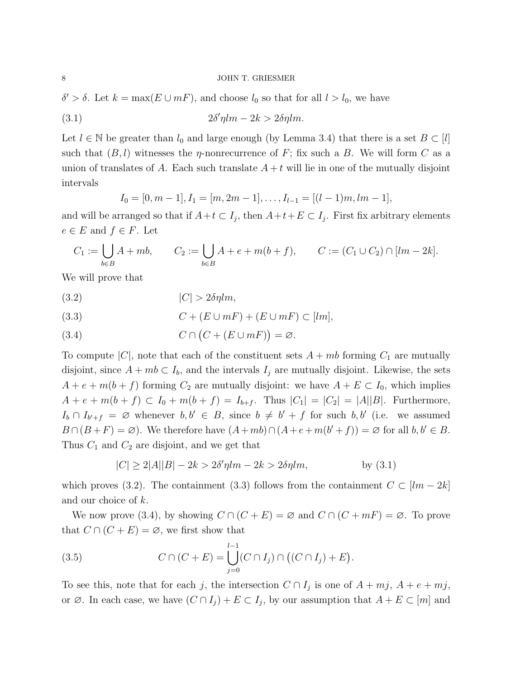$\delta' > \delta$ . Let  $k = \max(E \cup mF)$ , and choose  $l_0$  so that for all  $l > l_0$ , we have

(3.1) 
$$
2\delta'\eta l m - 2k > 2\delta\eta l m.
$$

Let  $l \in \mathbb{N}$  be greater than  $l_0$  and large enough (by Lemma [3.4\)](#page-6-1) that there is a set  $B \subset [l]$ such that  $(B, l)$  witnesses the *η*-nonrecurrence of F; fix such a B. We will form C as a union of translates of A. Each such translate  $A + t$  will lie in one of the mutually disjoint intervals

<span id="page-7-0"></span>
$$
I_0 = [0, m-1], I_1 = [m, 2m-1], \dots, I_{l-1} = [(l-1)m, lm-1],
$$

and will be arranged so that if  $A+t\subset I_j$ , then  $A+t+E\subset I_j$ . First fix arbitrary elements  $e \in E$  and  $f \in F$ . Let

$$
C_1 := \bigcup_{b \in B} A + mb, \qquad C_2 := \bigcup_{b \in B} A + e + m(b + f), \qquad C := (C_1 \cup C_2) \cap [lm - 2k].
$$

We will prove that

<span id="page-7-1"></span>
$$
(3.2) \t |C| > 2\delta\eta lm,
$$

<span id="page-7-2"></span>(3.3) 
$$
C + (E \cup mF) + (E \cup mF) \subset [lm],
$$

<span id="page-7-3"></span>(3.4) 
$$
C \cap (C + (E \cup mF)) = \varnothing.
$$

To compute |C|, note that each of the constituent sets  $A + mb$  forming  $C_1$  are mutually disjoint, since  $A + mb \subset I_b$ , and the intervals  $I_j$  are mutually disjoint. Likewise, the sets  $A + e + m(b + f)$  forming  $C_2$  are mutually disjoint: we have  $A + E \subset I_0$ , which implies  $A + e + m(b + f) \subset I_0 + m(b + f) = I_{b + f}$ . Thus  $|C_1| = |C_2| = |A||B|$ . Furthermore,  $I_b \cap I_{b'+f} = \emptyset$  whenever  $b, b' \in B$ , since  $b \neq b' + f$  for such  $b, b'$  (i.e. we assumed  $B \cap (B + F) = \emptyset$ . We therefore have  $(A + mb) \cap (A + e + m(b' + f)) = \emptyset$  for all  $b, b' \in B$ . Thus  $C_1$  and  $C_2$  are disjoint, and we get that

$$
|C| \ge 2|A||B| - 2k > 2\delta'\eta l m - 2k > 2\delta\eta l m, \qquad \text{by (3.1)}
$$

which proves [\(3.2\)](#page-7-1). The containment [\(3.3\)](#page-7-2) follows from the containment  $C \subset [lm - 2k]$ and our choice of k.

We now prove [\(3.4\)](#page-7-3), by showing  $C \cap (C + E) = \emptyset$  and  $C \cap (C + mF) = \emptyset$ . To prove that  $C \cap (C + E) = \emptyset$ , we first show that

<span id="page-7-4"></span>(3.5) 
$$
C \cap (C+E) = \bigcup_{j=0}^{l-1} (C \cap I_j) \cap ((C \cap I_j) + E).
$$

To see this, note that for each j, the intersection  $C \cap I_j$  is one of  $A + mj$ ,  $A + e + mj$ , or  $\emptyset$ . In each case, we have  $(C \cap I_j) + E \subset I_j$ , by our assumption that  $A + E \subset [m]$  and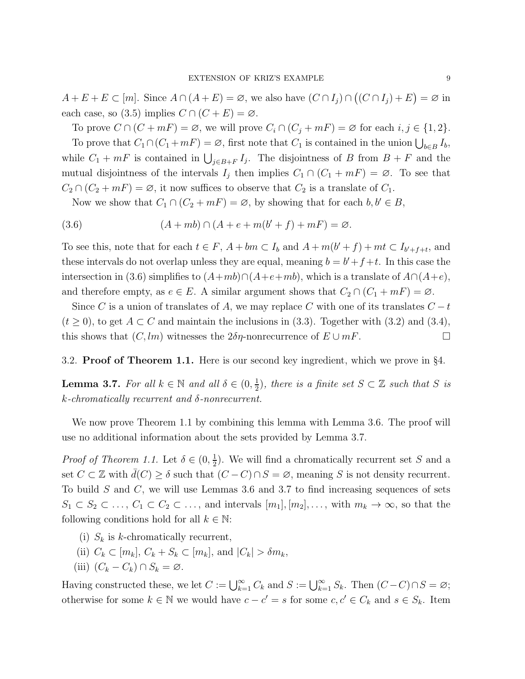$A + E + E \subset [m]$ . Since  $A \cap (A + E) = \emptyset$ , we also have  $(C \cap I_j) \cap ((C \cap I_j) + E) = \emptyset$  in each case, so [\(3.5\)](#page-7-4) implies  $C \cap (C + E) = \emptyset$ .

To prove  $C \cap (C + mF) = \emptyset$ , we will prove  $C_i \cap (C_j + mF) = \emptyset$  for each  $i, j \in \{1, 2\}$ .

To prove that  $C_1 \cap (C_1 + mF) = \emptyset$ , first note that  $C_1$  is contained in the union  $\bigcup_{b \in B} I_b$ , while  $C_1 + mF$  is contained in  $\bigcup_{j \in B+F} I_j$ . The disjointness of B from  $B + F$  and the mutual disjointness of the intervals  $I_j$  then implies  $C_1 \cap (C_1 + mF) = \emptyset$ . To see that  $C_2 \cap (C_2 + mF) = \emptyset$ , it now suffices to observe that  $C_2$  is a translate of  $C_1$ .

<span id="page-8-1"></span>Now we show that  $C_1 \cap (C_2 + mF) = \emptyset$ , by showing that for each  $b, b' \in B$ ,

(3.6) 
$$
(A + mb) \cap (A + e + m(b' + f) + mF) = \varnothing.
$$

To see this, note that for each  $t \in F$ ,  $A + bm \subset I_b$  and  $A + m(b' + f) + mt \subset I_{b'+f+t}$ , and these intervals do not overlap unless they are equal, meaning  $b = b' + f + t$ . In this case the intersection in [\(3.6\)](#page-8-1) simplifies to  $(A+mb)\cap (A+e+mb)$ , which is a translate of  $A\cap (A+e)$ , and therefore empty, as  $e \in E$ . A similar argument shows that  $C_2 \cap (C_1 + mF) = \emptyset$ .

Since C is a union of translates of A, we may replace C with one of its translates  $C - t$  $(t > 0)$ , to get  $A \subset C$  and maintain the inclusions in [\(3.3\)](#page-7-2). Together with [\(3.2\)](#page-7-1) and [\(3.4\)](#page-7-3), this shows that  $(C, lm)$  witnesses the  $2\delta\eta$ -nonrecurrence of  $E \cup mF$ .

3.2. Proof of Theorem [1.1.](#page-1-0) Here is our second key ingredient, which we prove in §[4.](#page-9-1)

<span id="page-8-0"></span>**Lemma 3.7.** For all  $k \in \mathbb{N}$  and all  $\delta \in (0, \frac{1}{2})$  $\frac{1}{2}$ , there is a finite set  $S \subset \mathbb{Z}$  such that S is  $k$ -chromatically recurrent and  $\delta$ -nonrecurrent.

We now prove Theorem [1.1](#page-1-0) by combining this lemma with Lemma [3.6.](#page-6-0) The proof will use no additional information about the sets provided by Lemma [3.7.](#page-8-0)

*Proof of Theorem [1.1.](#page-1-0)* Let  $\delta \in (0, \frac{1}{2})$  $\frac{1}{2}$ ). We will find a chromatically recurrent set S and a set  $C \subset \mathbb{Z}$  with  $d(C) \geq \delta$  such that  $(C - C) \cap S = \emptyset$ , meaning S is not density recurrent. To build S and C, we will use Lemmas [3.6](#page-6-0) and [3.7](#page-8-0) to find increasing sequences of sets  $S_1 \subset S_2 \subset \ldots, C_1 \subset C_2 \subset \ldots$ , and intervals  $[m_1], [m_2], \ldots$ , with  $m_k \to \infty$ , so that the following conditions hold for all  $k \in \mathbb{N}$ :

- (i)  $S_k$  is k-chromatically recurrent,
- (ii)  $C_k \subset [m_k]$ ,  $C_k + S_k \subset [m_k]$ , and  $|C_k| > \delta m_k$ ,
- (iii)  $(C_k C_k) \cap S_k = \emptyset$ .

Having constructed these, we let  $C := \bigcup_{k=1}^{\infty} C_k$  and  $S := \bigcup_{k=1}^{\infty} S_k$ . Then  $(C - C) \cap S = \emptyset$ ; otherwise for some  $k \in \mathbb{N}$  we would have  $c - c' = s$  for some  $c, c' \in C_k$  and  $s \in S_k$ . Item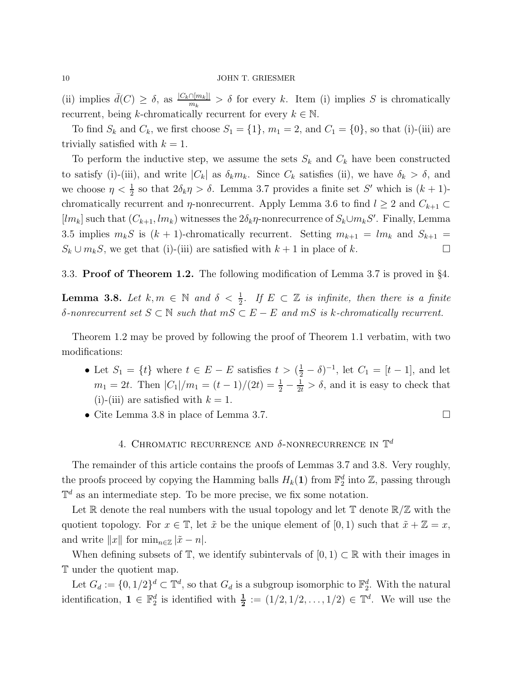(ii) implies  $\bar{d}(C) \geq \delta$ , as  $\frac{|C_k \cap [m_k]|}{m_k}$  $\frac{\prod_{i=1}^{n} S_i}{m_k} > \delta$  for every k. Item (i) implies S is chromatically recurrent, being k-chromatically recurrent for every  $k \in \mathbb{N}$ .

To find  $S_k$  and  $C_k$ , we first choose  $S_1 = \{1\}$ ,  $m_1 = 2$ , and  $C_1 = \{0\}$ , so that (i)-(iii) are trivially satisfied with  $k = 1$ .

To perform the inductive step, we assume the sets  $S_k$  and  $C_k$  have been constructed to satisfy (i)-(iii), and write  $|C_k|$  as  $\delta_k m_k$ . Since  $C_k$  satisfies (ii), we have  $\delta_k > \delta$ , and we choose  $\eta < \frac{1}{2}$  so that  $2\delta_k \eta > \delta$ . Lemma [3.7](#page-8-0) provides a finite set S' which is  $(k+1)$ chromatically recurrent and  $\eta$ -nonrecurrent. Apply Lemma [3.6](#page-6-0) to find  $l \geq 2$  and  $C_{k+1} \subset$  $[lm_k]$  such that  $(C_{k+1}, lm_k)$  witnesses the  $2\delta_k \eta$ -nonrecurrence of  $S_k \cup m_k S'$ . Finally, Lemma [3.5](#page-6-2) implies  $m_kS$  is  $(k + 1)$ -chromatically recurrent. Setting  $m_{k+1} = lm_k$  and  $S_{k+1}$  $S_k \cup m_k S$ , we get that (i)-(iii) are satisfied with  $k+1$  in place of k.

3.3. Proof of Theorem [1.2.](#page-1-1) The following modification of Lemma [3.7](#page-8-0) is proved in §[4.](#page-9-1)

<span id="page-9-0"></span>**Lemma 3.8.** Let  $k, m \in \mathbb{N}$  and  $\delta < \frac{1}{2}$ . If  $E \subset \mathbb{Z}$  is infinite, then there is a finite δ-nonrecurrent set  $S \subset \mathbb{N}$  such that  $mS \subset E - E$  and  $mS$  is k-chromatically recurrent.

Theorem [1.2](#page-1-1) may be proved by following the proof of Theorem [1.1](#page-1-0) verbatim, with two modifications:

- Let  $S_1 = \{t\}$  where  $t \in E E$  satisfies  $t > (\frac{1}{2} \delta)^{-1}$ , let  $C_1 = [t 1]$ , and let  $m_1 = 2t$ . Then  $|C_1|/m_1 = (t-1)/(2t) = \frac{1}{2} - \frac{1}{2t} > \delta$ , and it is easy to check that (i)-(iii) are satisfied with  $k = 1$ .
- <span id="page-9-1"></span>• Cite Lemma [3.8](#page-9-0) in place of Lemma [3.7.](#page-8-0)

# 4. CHROMATIC RECURRENCE AND  $\delta$ -NONRECURRENCE IN  $\mathbb{T}^d$

The remainder of this article contains the proofs of Lemmas [3.7](#page-8-0) and [3.8.](#page-9-0) Very roughly, the proofs proceed by copying the Hamming balls  $H_k(1)$  from  $\mathbb{F}_2^d$  into  $\mathbb{Z}$ , passing through  $\mathbb{T}^d$  as an intermediate step. To be more precise, we fix some notation.

Let  $\mathbb R$  denote the real numbers with the usual topology and let  $\mathbb T$  denote  $\mathbb R/\mathbb Z$  with the quotient topology. For  $x \in \mathbb{T}$ , let  $\tilde{x}$  be the unique element of [0, 1) such that  $\tilde{x} + \mathbb{Z} = x$ , and write  $||x||$  for  $\min_{n\in\mathbb{Z}} |\tilde{x} - n|$ .

When defining subsets of  $\mathbb{T}$ , we identify subintervals of  $[0, 1) \subset \mathbb{R}$  with their images in T under the quotient map.

Let  $G_d := \{0, 1/2\}^d \subset \mathbb{T}^d$ , so that  $G_d$  is a subgroup isomorphic to  $\mathbb{F}_2^d$ . With the natural identification,  $\mathbf{1} \in \mathbb{F}_2^d$  is identified with  $\frac{1}{2} := (1/2, 1/2, \ldots, 1/2) \in \mathbb{T}^d$ . We will use the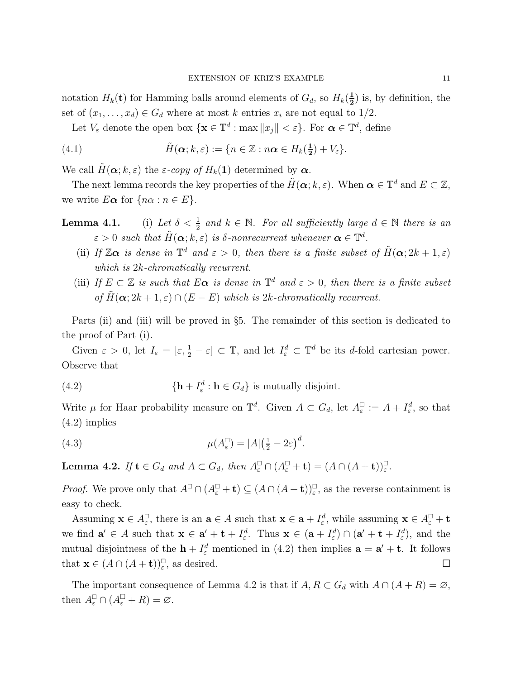notation  $H_k(\mathbf{t})$  for Hamming balls around elements of  $G_d$ , so  $H_k(\frac{1}{2})$  $(\frac{1}{2})$  is, by definition, the set of  $(x_1, \ldots, x_d) \in G_d$  where at most k entries  $x_i$  are not equal to 1/2.

<span id="page-10-2"></span>Let  $V_{\varepsilon}$  denote the open box  $\{ \mathbf{x} \in \mathbb{T}^d : \max ||x_j|| < \varepsilon \}$ . For  $\boldsymbol{\alpha} \in \mathbb{T}^d$ , define

(4.1) 
$$
\tilde{H}(\alpha;k,\varepsilon):=\{n\in\mathbb{Z}:n\alpha\in H_k(\frac{1}{2})+V_{\varepsilon}\}.
$$

We call  $\tilde{H}(\boldsymbol{\alpha}; k, \varepsilon)$  the  $\varepsilon$ -copy of  $H_k(1)$  determined by  $\boldsymbol{\alpha}$ .

The next lemma records the key properties of the  $\tilde{H}(\boldsymbol{\alpha};k,\varepsilon)$ . When  $\boldsymbol{\alpha} \in \mathbb{T}^d$  and  $E \subset \mathbb{Z}$ , we write  $E\boldsymbol{\alpha}$  for  $\{n\alpha : n \in E\}$ .

- **Lemma 4.1.** (i) Let  $\delta < \frac{1}{2}$  and  $k \in \mathbb{N}$ . For all sufficiently large  $d \in \mathbb{N}$  there is an  $\varepsilon > 0$  such that  $\tilde{H}(\boldsymbol{\alpha}; k, \varepsilon)$  is  $\delta$ -nonrecurrent whenever  $\boldsymbol{\alpha} \in \mathbb{T}^d$ .
	- (ii) If  $\mathbb{Z}\alpha$  is dense in  $\mathbb{T}^d$  and  $\varepsilon > 0$ , then there is a finite subset of  $\tilde{H}(\alpha; 2k+1, \varepsilon)$ which is 2k-chromatically recurrent.
	- (iii) If  $E \subset \mathbb{Z}$  is such that  $E \alpha$  is dense in  $\mathbb{T}^d$  and  $\varepsilon > 0$ , then there is a finite subset of  $\tilde{H}(\boldsymbol{\alpha}; 2k+1, \varepsilon) \cap (E - E)$  which is 2k-chromatically recurrent.

Parts (ii) and (iii) will be proved in §[5.](#page-11-0) The remainder of this section is dedicated to the proof of Part (i).

Given  $\varepsilon > 0$ , let  $I_{\varepsilon} = [\varepsilon, \frac{1}{2} - \varepsilon] \subset \mathbb{T}$ , and let  $I_{\varepsilon}^d \subset \mathbb{T}^d$  be its d-fold cartesian power. Observe that

<span id="page-10-0"></span>(4.2) 
$$
\{ \mathbf{h} + I_{\varepsilon}^d : \mathbf{h} \in G_d \} \text{ is mutually disjoint.}
$$

Write  $\mu$  for Haar probability measure on  $\mathbb{T}^d$ . Given  $A \subset G_d$ , let  $A_{\varepsilon}^{\square} := A + I_{\varepsilon}^d$ , so that [\(4.2\)](#page-10-0) implies

(4.3) 
$$
\mu(A_{\varepsilon}^{\square}) = |A| \left(\frac{1}{2} - 2\varepsilon\right)^d.
$$

<span id="page-10-1"></span>**Lemma 4.2.** If  $\mathbf{t} \in G_d$  and  $A \subset G_d$ , then  $A_{\varepsilon}^{\square} \cap (A_{\varepsilon}^{\square} + \mathbf{t}) = (A \cap (A + \mathbf{t}))_{\varepsilon}^{\square}$ .

*Proof.* We prove only that  $A^{\square} \cap (A_{\varepsilon}^{\square} + \mathbf{t}) \subseteq (A \cap (A + \mathbf{t}))_{\varepsilon}^{\square}$ , as the reverse containment is easy to check.

Assuming  $\mathbf{x} \in A_{\varepsilon}^{\square}$ , there is an  $\mathbf{a} \in A$  such that  $\mathbf{x} \in \mathbf{a} + I_{\varepsilon}^d$ , while assuming  $\mathbf{x} \in A_{\varepsilon}^{\square} + \mathbf{t}$ we find  $\mathbf{a}' \in A$  such that  $\mathbf{x} \in \mathbf{a}' + \mathbf{t} + I_{\varepsilon}^d$ . Thus  $\mathbf{x} \in (\mathbf{a} + I_{\varepsilon}^d) \cap (\mathbf{a}' + \mathbf{t} + I_{\varepsilon}^d)$ , and the mutual disjointness of the  $\mathbf{h} + I_{\varepsilon}^d$  mentioned in [\(4.2\)](#page-10-0) then implies  $\mathbf{a} = \mathbf{a}' + \mathbf{t}$ . It follows that  $\mathbf{x} \in (A \cap (A + \mathbf{t}))_{\varepsilon}^{\square}$ , as desired.

The important consequence of Lemma [4.2](#page-10-1) is that if  $A, R \subset G_d$  with  $A \cap (A + R) = \emptyset$ , then  $A_{\varepsilon}^{\square} \cap (A_{\varepsilon}^{\square} + R) = \varnothing$ .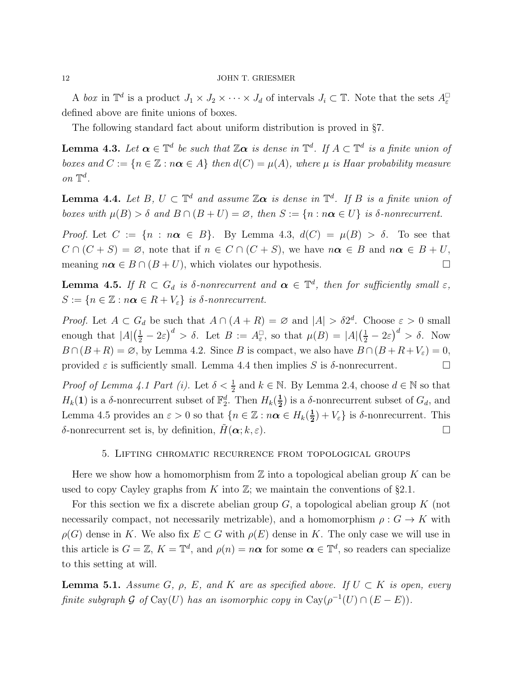A box in  $\mathbb{T}^d$  is a product  $J_1 \times J_2 \times \cdots \times J_d$  of intervals  $J_i \subset \mathbb{T}$ . Note that the sets  $A_{\varepsilon}^{\square}$ defined above are finite unions of boxes.

The following standard fact about uniform distribution is proved in §[7.](#page-13-1)

<span id="page-11-1"></span>**Lemma 4.3.** Let  $\boldsymbol{\alpha} \in \mathbb{T}^d$  be such that  $\mathbb{Z}\boldsymbol{\alpha}$  is dense in  $\mathbb{T}^d$ . If  $A \subset \mathbb{T}^d$  is a finite union of boxes and  $C := \{n \in \mathbb{Z} : n\alpha \in A\}$  then  $d(C) = \mu(A)$ , where  $\mu$  is Haar probability measure on  $\mathbb{T}^d$ .

<span id="page-11-2"></span>**Lemma 4.4.** Let  $B, U \subset \mathbb{T}^d$  and assume  $\mathbb{Z}\alpha$  is dense in  $\mathbb{T}^d$ . If  $B$  is a finite union of boxes with  $\mu(B) > \delta$  and  $B \cap (B + U) = \emptyset$ , then  $S := \{n : n \alpha \in U\}$  is  $\delta$ -nonrecurrent.

*Proof.* Let  $C := \{n : n\alpha \in B\}$ . By Lemma [4.3,](#page-11-1)  $d(C) = \mu(B) > \delta$ . To see that  $C \cap (C + S) = \emptyset$ , note that if  $n \in C \cap (C + S)$ , we have  $n\alpha \in B$  and  $n\alpha \in B + U$ , meaning  $n\alpha \in B \cap (B+U)$ , which violates our hypothesis.

<span id="page-11-3"></span>**Lemma 4.5.** If  $R \subset G_d$  is  $\delta$ -nonrecurrent and  $\boldsymbol{\alpha} \in \mathbb{T}^d$ , then for sufficiently small  $\varepsilon$ ,  $S := \{n \in \mathbb{Z} : n\boldsymbol{\alpha} \in R + V_{\varepsilon}\}\$ is δ-nonrecurrent.

*Proof.* Let  $A \subset G_d$  be such that  $A \cap (A + R) = \emptyset$  and  $|A| > \delta 2^d$ . Choose  $\varepsilon > 0$  small enough that  $|A|(\frac{1}{2} - 2\varepsilon)^d > \delta$ . Let  $B := A_{\varepsilon}^{\square}$  $\Box_{\varepsilon}$ , so that  $\mu(B) = |A| \left(\frac{1}{2} - 2\varepsilon\right)^d > \delta$ . Now  $B \cap (B + R) = \emptyset$ , by Lemma [4.2.](#page-10-1) Since B is compact, we also have  $B \cap (B + R + V_{\varepsilon}) = 0$ , provided  $\varepsilon$  is sufficiently small. Lemma [4.4](#page-11-2) then implies S is  $\delta$ -nonrecurrent.

*Proof of Lemma 4.1 Part (i).* Let  $\delta < \frac{1}{2}$  and  $k \in \mathbb{N}$ . By Lemma [2.4,](#page-3-2) choose  $d \in \mathbb{N}$  so that  $H_k(1)$  is a  $\delta$ -nonrecurrent subset of  $\mathbb{F}_2^d$ . Then  $H_k(\frac{1}{2})$  $(\frac{1}{2})$  is a  $\delta$ -nonrecurrent subset of  $G_d$ , and Lemma [4.5](#page-11-3) provides an  $\varepsilon > 0$  so that  $\{n \in \mathbb{Z} : n\boldsymbol{\alpha} \in H_k(\frac{1}{2})\}$  $(\frac{1}{2}) + V_{\varepsilon}$  is  $\delta$ -nonrecurrent. This δ-nonrecurrent set is, by definition,  $H(\alpha; k, \varepsilon)$ .

#### 5. Lifting chromatic recurrence from topological groups

<span id="page-11-0"></span>Here we show how a homomorphism from  $\mathbb Z$  into a topological abelian group K can be used to copy Cayley graphs from K into  $\mathbb{Z}$ ; we maintain the conventions of §[2.1.](#page-2-1)

For this section we fix a discrete abelian group  $G$ , a topological abelian group  $K$  (not necessarily compact, not necessarily metrizable), and a homomorphism  $\rho: G \to K$  with  $\rho(G)$  dense in K. We also fix  $E \subset G$  with  $\rho(E)$  dense in K. The only case we will use in this article is  $G = \mathbb{Z}, K = \mathbb{T}^d$ , and  $\rho(n) = n\alpha$  for some  $\alpha \in \mathbb{T}^d$ , so readers can specialize to this setting at will.

**Lemma 5.1.** Assume G,  $\rho$ , E, and K are as specified above. If  $U \subset K$  is open, every finite subgraph  $\mathcal G$  of  $\text{Cay}(U)$  has an isomorphic copy in  $\text{Cay}(\rho^{-1}(U) \cap (E - E)).$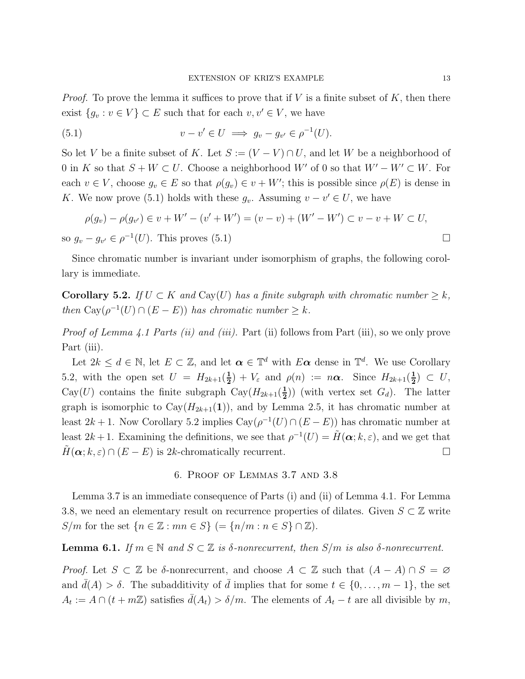*Proof.* To prove the lemma it suffices to prove that if  $V$  is a finite subset of  $K$ , then there exist  $\{g_v : v \in V\} \subset E$  such that for each  $v, v' \in V$ , we have

<span id="page-12-0"></span>(5.1) 
$$
v - v' \in U \implies g_v - g_{v'} \in \rho^{-1}(U).
$$

So let V be a finite subset of K. Let  $S := (V - V) \cap U$ , and let W be a neighborhood of 0 in K so that  $S + W \subset U$ . Choose a neighborhood W' of 0 so that  $W' - W' \subset W$ . For each  $v \in V$ , choose  $g_v \in E$  so that  $\rho(g_v) \in v + W'$ ; this is possible since  $\rho(E)$  is dense in K. We now prove [\(5.1\)](#page-12-0) holds with these  $g_v$ . Assuming  $v - v' \in U$ , we have

$$
\rho(g_v) - \rho(g_{v'}) \in v + W' - (v' + W') = (v - v) + (W' - W') \subset v - v + W \subset U,
$$
  
so  $g_v - g_{v'} \in \rho^{-1}(U)$ . This proves (5.1)

Since chromatic number is invariant under isomorphism of graphs, the following corollary is immediate.

<span id="page-12-1"></span>Corollary 5.2. If  $U \subset K$  and  $Cay(U)$  has a finite subgraph with chromatic number  $\geq k$ , then  $\text{Cay}(\rho^{-1}(U) \cap (E - E))$  has chromatic number  $\geq k$ .

Proof of Lemma 4.1 Parts (ii) and (iii). Part (ii) follows from Part (iii), so we only prove Part *(iii)*.

Let  $2k \leq d \in \mathbb{N}$ , let  $E \subset \mathbb{Z}$ , and let  $\boldsymbol{\alpha} \in \mathbb{T}^d$  with  $E \boldsymbol{\alpha}$  dense in  $\mathbb{T}^d$ . We use Corollary [5.2,](#page-12-1) with the open set  $U = H_{2k+1}(\frac{1}{2})$  $(\frac{1}{2}) + V_{\varepsilon}$  and  $\rho(n) := n\alpha$ . Since  $H_{2k+1}(\frac{1}{2})$  $\frac{1}{2}) \subset U$ , Cay(U) contains the finite subgraph  $Cay(H_{2k+1}(\frac{1}{2}))$  $(\frac{1}{2})$  (with vertex set  $G_d$ ). The latter graph is isomorphic to  $\text{Cay}(H_{2k+1}(1))$ , and by Lemma [2.5,](#page-4-2) it has chromatic number at least 2k + 1. Now Corollary [5.2](#page-12-1) implies  $\text{Cay}(\rho^{-1}(U) \cap (E - E))$  has chromatic number at least  $2k+1$ . Examining the definitions, we see that  $\rho^{-1}(U) = \tilde{H}(\alpha; k, \varepsilon)$ , and we get that  $H(\boldsymbol{\alpha}; k, \varepsilon) \cap (E - E)$  is 2k-chromatically recurrent.

#### 6. Proof of Lemmas [3.7](#page-8-0) and [3.8](#page-9-0)

Lemma [3.7](#page-8-0) is an immediate consequence of Parts (i) and (ii) of Lemma 4.1. For Lemma [3.8,](#page-9-0) we need an elementary result on recurrence properties of dilates. Given  $S \subset \mathbb{Z}$  write S/m for the set  $\{n \in \mathbb{Z} : mn \in S\}$   $( = \{n/m : n \in S\} \cap \mathbb{Z}).$ 

# <span id="page-12-2"></span>**Lemma 6.1.** If  $m \in \mathbb{N}$  and  $S \subset \mathbb{Z}$  is  $\delta$ -nonrecurrent, then  $S/m$  is also  $\delta$ -nonrecurrent.

Proof. Let  $S \subset \mathbb{Z}$  be  $\delta$ -nonrecurrent, and choose  $A \subset \mathbb{Z}$  such that  $(A - A) \cap S = \emptyset$ and  $\bar{d}(A) > \delta$ . The subadditivity of  $\bar{d}$  implies that for some  $t \in \{0, \ldots, m-1\}$ , the set  $A_t := A \cap (t + m\mathbb{Z})$  satisfies  $\bar{d}(A_t) > \delta/m$ . The elements of  $A_t - t$  are all divisible by m,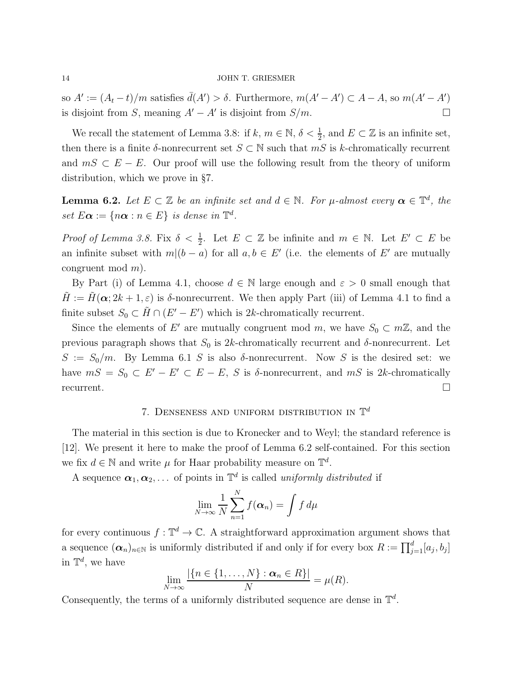so  $A' := (A_t - t)/m$  satisfies  $\bar{d}(A') > \delta$ . Furthermore,  $m(A' - A') \subset A - A$ , so  $m(A' - A')$ is disjoint from S, meaning  $A' - A'$  is disjoint from  $S/m$ .  $□$ 

We recall the statement of Lemma [3.8:](#page-9-0) if  $k, m \in \mathbb{N}, \delta < \frac{1}{2}$ , and  $E \subset \mathbb{Z}$  is an infinite set, then there is a finite  $\delta$ -nonrecurrent set  $S \subset \mathbb{N}$  such that  $mS$  is k-chromatically recurrent and  $mS \subset E - E$ . Our proof will use the following result from the theory of uniform distribution, which we prove in §[7.](#page-13-1)

<span id="page-13-0"></span>**Lemma 6.2.** Let  $E \subset \mathbb{Z}$  be an infinite set and  $d \in \mathbb{N}$ . For  $\mu$ -almost every  $\boldsymbol{\alpha} \in \mathbb{T}^d$ , the set  $E\boldsymbol{\alpha} := \{n\boldsymbol{\alpha} : n \in E\}$  is dense in  $\mathbb{T}^d$ .

*Proof of Lemma [3.8.](#page-9-0)* Fix  $\delta < \frac{1}{2}$ . Let  $E \subset \mathbb{Z}$  be infinite and  $m \in \mathbb{N}$ . Let  $E' \subset E$  be an infinite subset with  $m|(b-a)$  for all  $a, b \in E'$  (i.e. the elements of E' are mutually congruent mod m).

By Part (i) of Lemma 4.1, choose  $d \in \mathbb{N}$  large enough and  $\varepsilon > 0$  small enough that  $\tilde{H} := \tilde{H}(\alpha; 2k + 1, \varepsilon)$  is  $\delta$ -nonrecurrent. We then apply Part (iii) of Lemma 4.1 to find a finite subset  $S_0 \subset \tilde{H} \cap (E' - E')$  which is 2k-chromatically recurrent.

Since the elements of E' are mutually congruent mod  $m$ , we have  $S_0 \subset m\mathbb{Z}$ , and the previous paragraph shows that  $S_0$  is 2k-chromatically recurrent and  $\delta$ -nonrecurrent. Let  $S := S_0/m$ . By Lemma [6.1](#page-12-2) S is also  $\delta$ -nonrecurrent. Now S is the desired set: we have  $mS = S_0 \subset E' - E' \subset E - E$ , S is  $\delta$ -nonrecurrent, and  $mS$  is 2k-chromatically recurrent.  $\Box$ 

# 7. DENSENESS AND UNIFORM DISTRIBUTION IN  $\mathbb{T}^d$

<span id="page-13-1"></span>The material in this section is due to Kronecker and to Weyl; the standard reference is [\[12\]](#page-17-11). We present it here to make the proof of Lemma [6.2](#page-13-0) self-contained. For this section we fix  $d \in \mathbb{N}$  and write  $\mu$  for Haar probability measure on  $\mathbb{T}^d$ .

A sequence  $\boldsymbol{\alpha}_1, \boldsymbol{\alpha}_2, \ldots$  of points in  $\mathbb{T}^d$  is called uniformly distributed if

$$
\lim_{N \to \infty} \frac{1}{N} \sum_{n=1}^{N} f(\boldsymbol{\alpha}_n) = \int f d\mu
$$

for every continuous  $f: \mathbb{T}^d \to \mathbb{C}$ . A straightforward approximation argument shows that a sequence  $(\alpha_n)_{n\in\mathbb{N}}$  is uniformly distributed if and only if for every box  $R := \prod_{j=1}^d [a_j, b_j]$ in  $\mathbb{T}^d$ , we have

$$
\lim_{N\to\infty}\frac{|\{n\in\{1,\ldots,N\}: \pmb{\alpha}_n\in R\}|}{N}=\mu(R).
$$

Consequently, the terms of a uniformly distributed sequence are dense in  $\mathbb{T}^d$ .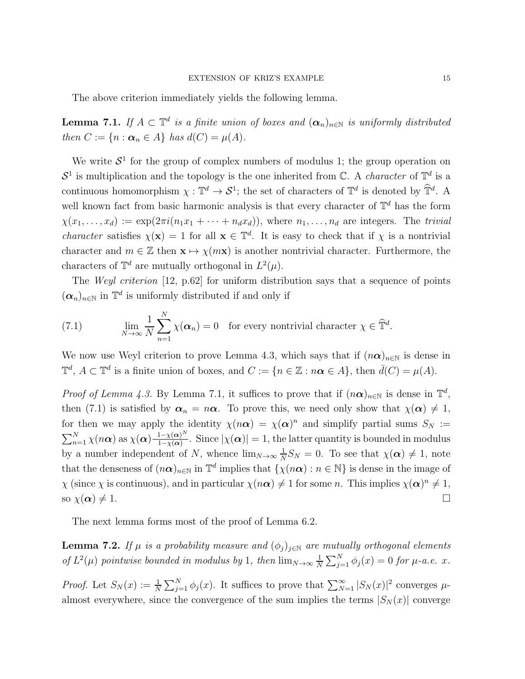The above criterion immediately yields the following lemma.

<span id="page-14-0"></span>**Lemma 7.1.** If  $A \subset \mathbb{T}^d$  is a finite union of boxes and  $(\alpha_n)_{n \in \mathbb{N}}$  is uniformly distributed then  $C := \{n : \boldsymbol{\alpha}_n \in A\}$  has  $d(C) = \mu(A)$ .

We write  $S^1$  for the group of complex numbers of modulus 1; the group operation on  $S^1$  is multiplication and the topology is the one inherited from C. A *character* of  $\mathbb{T}^d$  is a continuous homomorphism  $\chi: \mathbb{T}^d \to \mathcal{S}^1$ ; the set of characters of  $\mathbb{T}^d$  is denoted by  $\widehat{\mathbb{T}}^d$ . A well known fact from basic harmonic analysis is that every character of  $\mathbb{T}^d$  has the form  $\chi(x_1,\ldots,x_d) := \exp(2\pi i(n_1x_1+\cdots+n_dx_d)),$  where  $n_1,\ldots,n_d$  are integers. The trivial *character* satisfies  $\chi(\mathbf{x}) = 1$  for all  $\mathbf{x} \in \mathbb{T}^d$ . It is easy to check that if  $\chi$  is a nontrivial character and  $m \in \mathbb{Z}$  then  $\mathbf{x} \mapsto \chi(m\mathbf{x})$  is another nontrivial character. Furthermore, the characters of  $\mathbb{T}^d$  are mutually orthogonal in  $L^2(\mu)$ .

The Weyl criterion [\[12,](#page-17-11) p.62] for uniform distribution says that a sequence of points  $(\alpha_n)_{n\in\mathbb{N}}$  in  $\mathbb{T}^d$  is uniformly distributed if and only if

<span id="page-14-1"></span>(7.1) 
$$
\lim_{N \to \infty} \frac{1}{N} \sum_{n=1}^{N} \chi(\boldsymbol{\alpha}_n) = 0 \text{ for every nontrivial character } \chi \in \widehat{\mathbb{T}}^d.
$$

We now use Weyl criterion to prove Lemma [4.3,](#page-11-1) which says that if  $(n\alpha)_{n\in\mathbb{N}}$  is dense in  $\mathbb{T}^d$ ,  $A \subset \mathbb{T}^d$  is a finite union of boxes, and  $C := \{n \in \mathbb{Z} : n\boldsymbol{\alpha} \in A\}$ , then  $\bar{d}(C) = \mu(A)$ .

*Proof of Lemma [4.3.](#page-11-1)* By Lemma [7.1,](#page-14-0) it suffices to prove that if  $(n\alpha)_{n\in\mathbb{N}}$  is dense in  $\mathbb{T}^d$ , then [\(7.1\)](#page-14-1) is satisfied by  $\alpha_n = n\alpha$ . To prove this, we need only show that  $\chi(\alpha) \neq 1$ , for then we may apply the identity  $\chi(n\alpha) = \chi(\alpha)^n$  and simplify partial sums  $S_N :=$  $\sum_{n=1}^{N} \chi(n\boldsymbol{\alpha})$  as  $\chi(\boldsymbol{\alpha}) \frac{1-\chi(\boldsymbol{\alpha})^N}{1-\chi(\boldsymbol{\alpha})}$  $\frac{1-\chi(\boldsymbol{\alpha})^N}{1-\chi(\boldsymbol{\alpha})}$ . Since  $|\chi(\boldsymbol{\alpha})|=1$ , the latter quantity is bounded in modulus by a number independent of N, whence  $\lim_{N\to\infty}\frac{1}{N}$  $\frac{1}{N}S_N = 0$ . To see that  $\chi(\boldsymbol{\alpha}) \neq 1$ , note that the denseness of  $(n\alpha)_{n\in\mathbb{N}}$  in  $\mathbb{T}^d$  implies that  $\{\chi(n\alpha):n\in\mathbb{N}\}\)$  is dense in the image of  $\chi$  (since  $\chi$  is continuous), and in particular  $\chi(n\alpha) \neq 1$  for some n. This implies  $\chi(\alpha)^n \neq 1$ , so  $\chi(\boldsymbol{\alpha}) \neq 1$ .

The next lemma forms most of the proof of Lemma [6.2.](#page-13-0)

<span id="page-14-2"></span>**Lemma 7.2.** If  $\mu$  is a probability measure and  $(\phi_j)_{j\in\mathbb{N}}$  are mutually orthogonal elements of  $L^2(\mu)$  pointwise bounded in modulus by 1, then  $\lim_{N\to\infty}\frac{1}{N}$  $\frac{1}{N} \sum_{j=1}^{N} \phi_j(x) = 0$  for  $\mu$ -a.e. x.

*Proof.* Let  $S_N(x) := \frac{1}{N} \sum_{j=1}^N \phi_j(x)$ . It suffices to prove that  $\sum_{N=1}^{\infty} |S_N(x)|^2$  converges  $\mu$ almost everywhere, since the convergence of the sum implies the terms  $|S_N(x)|$  converge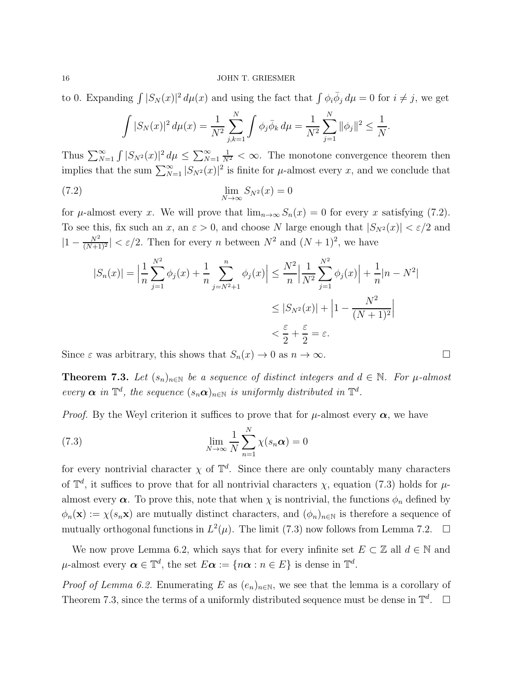to 0. Expanding  $\int |S_N(x)|^2 d\mu(x)$  and using the fact that  $\int \phi_i \overline{\phi}_j d\mu = 0$  for  $i \neq j$ , we get

<span id="page-15-0"></span>
$$
\int |S_N(x)|^2 d\mu(x) = \frac{1}{N^2} \sum_{j,k=1}^N \int \phi_j \overline{\phi}_k d\mu = \frac{1}{N^2} \sum_{j=1}^N \|\phi_j\|^2 \le \frac{1}{N}.
$$

Thus  $\sum_{N=1}^{\infty} \int |S_{N^2}(x)|^2 d\mu \leq \sum_{N=1}^{\infty}$  $\frac{1}{N^2} < \infty$ . The monotone convergence theorem then implies that the sum  $\sum_{N=1}^{\infty} |S_{N^2}(x)|^2$  is finite for  $\mu$ -almost every x, and we conclude that

$$
\lim_{N \to \infty} S_{N^2}(x) = 0
$$

for  $\mu$ -almost every x. We will prove that  $\lim_{n\to\infty} S_n(x) = 0$  for every x satisfying [\(7.2\)](#page-15-0). To see this, fix such an x, an  $\varepsilon > 0$ , and choose N large enough that  $|S_{N^2}(x)| < \varepsilon/2$  and  $|1 - \frac{N^2}{(N+1)}|$  $\frac{N^2}{(N+1)^2}$  <  $\varepsilon/2$ . Then for every *n* between  $N^2$  and  $(N+1)^2$ , we have

$$
|S_n(x)| = \left| \frac{1}{n} \sum_{j=1}^{N^2} \phi_j(x) + \frac{1}{n} \sum_{j=N^2+1}^{n} \phi_j(x) \right| \le \frac{N^2}{n} \left| \frac{1}{N^2} \sum_{j=1}^{N^2} \phi_j(x) \right| + \frac{1}{n} |n - N^2|
$$
  

$$
\le |S_{N^2}(x)| + \left| 1 - \frac{N^2}{(N+1)^2} \right|
$$
  

$$
< \frac{\varepsilon}{2} + \frac{\varepsilon}{2} = \varepsilon.
$$

Since  $\varepsilon$  was arbitrary, this shows that  $S_n(x) \to 0$  as  $n \to \infty$ .

<span id="page-15-2"></span>**Theorem 7.3.** Let  $(s_n)_{n\in\mathbb{N}}$  be a sequence of distinct integers and  $d \in \mathbb{N}$ . For  $\mu$ -almost every  $\alpha$  in  $\mathbb{T}^d$ , the sequence  $(s_n \alpha)_{n \in \mathbb{N}}$  is uniformly distributed in  $\mathbb{T}^d$ .

*Proof.* By the Weyl criterion it suffices to prove that for  $\mu$ -almost every  $\alpha$ , we have

<span id="page-15-1"></span>(7.3) 
$$
\lim_{N \to \infty} \frac{1}{N} \sum_{n=1}^{N} \chi(s_n \alpha) = 0
$$

for every nontrivial character  $\chi$  of  $\mathbb{T}^d$ . Since there are only countably many characters of  $\mathbb{T}^d$ , it suffices to prove that for all nontrivial characters  $\chi$ , equation [\(7.3\)](#page-15-1) holds for  $\mu$ almost every  $\alpha$ . To prove this, note that when  $\chi$  is nontrivial, the functions  $\phi_n$  defined by  $\phi_n(\mathbf{x}) := \chi(s_n \mathbf{x})$  are mutually distinct characters, and  $(\phi_n)_{n \in \mathbb{N}}$  is therefore a sequence of mutually orthogonal functions in  $L^2(\mu)$ . The limit [\(7.3\)](#page-15-1) now follows from Lemma [7.2.](#page-14-2)  $\Box$ 

We now prove Lemma [6.2,](#page-13-0) which says that for every infinite set  $E \subset \mathbb{Z}$  all  $d \in \mathbb{N}$  and  $\mu$ -almost every  $\boldsymbol{\alpha} \in \mathbb{T}^d$ , the set  $E \boldsymbol{\alpha} := \{ n \boldsymbol{\alpha} : n \in E \}$  is dense in  $\mathbb{T}^d$ .

*Proof of Lemma [6.2.](#page-13-0)* Enumerating E as  $(e_n)_{n\in\mathbb{N}}$ , we see that the lemma is a corollary of Theorem [7.3,](#page-15-2) since the terms of a uniformly distributed sequence must be dense in  $\mathbb{T}^d$ .  $\Box$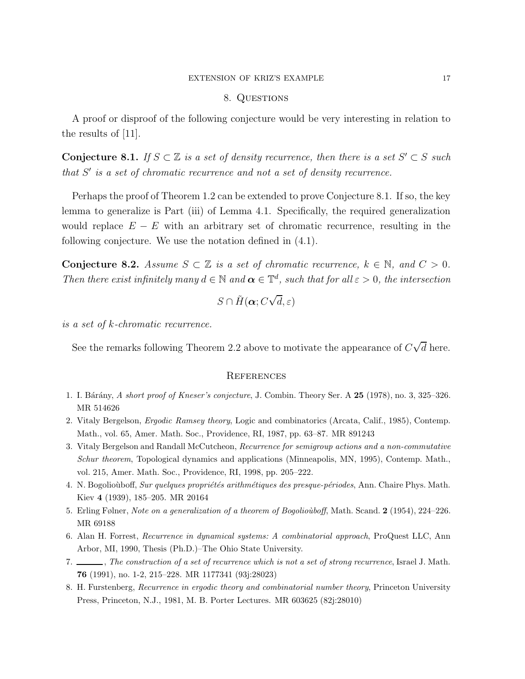#### EXTENSION OF KRIZ'S EXAMPLE 17

#### 8. QUESTIONS

A proof or disproof of the following conjecture would be very interesting in relation to the results of [\[11\]](#page-17-12).

<span id="page-16-8"></span>**Conjecture 8.1.** If  $S \subset \mathbb{Z}$  is a set of density recurrence, then there is a set  $S' \subset S$  such that S' is a set of chromatic recurrence and not a set of density recurrence.

Perhaps the proof of Theorem [1.2](#page-1-1) can be extended to prove Conjecture [8.1.](#page-16-8) If so, the key lemma to generalize is Part (iii) of Lemma 4.1. Specifically, the required generalization would replace  $E - E$  with an arbitrary set of chromatic recurrence, resulting in the following conjecture. We use the notation defined in [\(4.1\)](#page-10-2).

Conjecture 8.2. Assume  $S \subset \mathbb{Z}$  is a set of chromatic recurrence,  $k \in \mathbb{N}$ , and  $C > 0$ . Then there exist infinitely many  $d \in \mathbb{N}$  and  $\alpha \in \mathbb{T}^d$ , such that for all  $\varepsilon > 0$ , the intersection

$$
S\cap \tilde{H}(\boldsymbol{\alpha};C\sqrt{d},\varepsilon)
$$

is a set of k-chromatic recurrence.

See the remarks following Theorem [2.2](#page-3-0) above to motivate the appearance of  $C\sqrt{d}$  here.

#### **REFERENCES**

- <span id="page-16-7"></span><span id="page-16-2"></span>1. I. Bárány, A short proof of Kneser's conjecture, J. Combin. Theory Ser. A 25 (1978), no. 3, 325–326. MR 514626
- <span id="page-16-4"></span>2. Vitaly Bergelson, Ergodic Ramsey theory, Logic and combinatorics (Arcata, Calif., 1985), Contemp. Math., vol. 65, Amer. Math. Soc., Providence, RI, 1987, pp. 63–87. MR 891243
- 3. Vitaly Bergelson and Randall McCutcheon, Recurrence for semigroup actions and a non-commutative Schur theorem, Topological dynamics and applications (Minneapolis, MN, 1995), Contemp. Math., vol. 215, Amer. Math. Soc., Providence, RI, 1998, pp. 205–222.
- <span id="page-16-1"></span><span id="page-16-0"></span>4. N. Bogolioùboff, Sur quelques propriétés arithmétiques des presque-périodes, Ann. Chaire Phys. Math. Kiev 4 (1939), 185–205. MR 20164
- <span id="page-16-5"></span>5. Erling Følner, Note on a generalization of a theorem of Bogoliouboff, Math. Scand. 2 (1954), 224–226. MR 69188
- <span id="page-16-6"></span>6. Alan H. Forrest, Recurrence in dynamical systems: A combinatorial approach, ProQuest LLC, Ann Arbor, MI, 1990, Thesis (Ph.D.)–The Ohio State University.
- <span id="page-16-3"></span>7. The construction of a set of recurrence which is not a set of strong recurrence, Israel J. Math. 76 (1991), no. 1-2, 215–228. MR 1177341 (93j:28023)
- 8. H. Furstenberg, Recurrence in ergodic theory and combinatorial number theory, Princeton University Press, Princeton, N.J., 1981, M. B. Porter Lectures. MR 603625 (82j:28010)